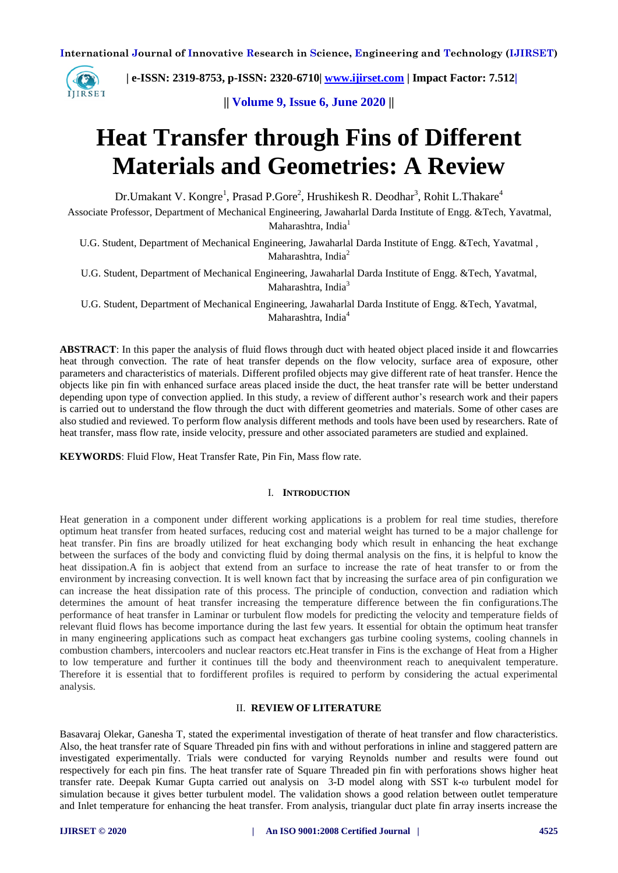

 **| e-ISSN: 2319-8753, p-ISSN: 2320-6710| [www.ijirset.com](http://www.ijirset.com/) | Impact Factor: 7.512|**

**|| Volume 9, Issue 6, June 2020 ||** 

# **Heat Transfer through Fins of Different Materials and Geometries: A Review**

Dr.Umakant V. Kongre<sup>1</sup>, Prasad P.Gore<sup>2</sup>, Hrushikesh R. Deodhar<sup>3</sup>, Rohit L.Thakare<sup>4</sup>

Associate Professor, Department of Mechanical Engineering, Jawaharlal Darda Institute of Engg. &Tech, Yavatmal, Maharashtra, India<sup>1</sup>

U.G. Student, Department of Mechanical Engineering, Jawaharlal Darda Institute of Engg. &Tech, Yavatmal , Maharashtra, India<sup>2</sup>

U.G. Student, Department of Mechanical Engineering, Jawaharlal Darda Institute of Engg. &Tech, Yavatmal, Maharashtra, India<sup>3</sup>

U.G. Student, Department of Mechanical Engineering, Jawaharlal Darda Institute of Engg. &Tech, Yavatmal, Maharashtra, India<sup>4</sup>

**ABSTRACT**: In this paper the analysis of fluid flows through duct with heated object placed inside it and flowcarries heat through convection. The rate of heat transfer depends on the flow velocity, surface area of exposure, other parameters and characteristics of materials. Different profiled objects may give different rate of heat transfer. Hence the objects like pin fin with enhanced surface areas placed inside the duct, the heat transfer rate will be better understand depending upon type of convection applied. In this study, a review of different author's research work and their papers is carried out to understand the flow through the duct with different geometries and materials. Some of other cases are also studied and reviewed. To perform flow analysis different methods and tools have been used by researchers. Rate of heat transfer, mass flow rate, inside velocity, pressure and other associated parameters are studied and explained.

**KEYWORDS**: Fluid Flow, Heat Transfer Rate, Pin Fin, Mass flow rate.

#### I. **INTRODUCTION**

Heat generation in a component under different working applications is a problem for real time studies, therefore optimum heat transfer from heated surfaces, reducing cost and material weight has turned to be a major challenge for heat transfer. Pin fins are broadly utilized for heat exchanging body which result in enhancing the heat exchange between the surfaces of the body and convicting fluid by doing thermal analysis on the fins, it is helpful to know the heat dissipation.A fin is aobject that extend from an surface to increase the rate of heat transfer to or from the environment by increasing convection. It is well known fact that by increasing the surface area of pin configuration we can increase the heat dissipation rate of this process. The principle of conduction, convection and radiation which determines the amount of heat transfer increasing the temperature difference between the fin configurations.The performance of heat transfer in Laminar or turbulent flow models for predicting the velocity and temperature fields of relevant fluid flows has become importance during the last few years. It essential for obtain the optimum heat transfer in many engineering applications such as compact heat exchangers gas turbine cooling systems, cooling channels in combustion chambers, intercoolers and nuclear reactors etc.Heat transfer in Fins is the exchange of Heat from a Higher to low temperature and further it continues till the body and theenvironment reach to anequivalent temperature. Therefore it is essential that to fordifferent profiles is required to perform by considering the actual experimental analysis.

#### II. **REVIEW OF LITERATURE**

Basavaraj Olekar, Ganesha T, stated the experimental investigation of therate of heat transfer and flow characteristics. Also, the heat transfer rate of Square Threaded pin fins with and without perforations in inline and staggered pattern are investigated experimentally. Trials were conducted for varying Reynolds number and results were found out respectively for each pin fins. The heat transfer rate of Square Threaded pin fin with perforations shows higher heat transfer rate. Deepak Kumar Gupta carried out analysis on 3-D model along with SST k-ω turbulent model for simulation because it gives better turbulent model. The validation shows a good relation between outlet temperature and Inlet temperature for enhancing the heat transfer. From analysis, triangular duct plate fin array inserts increase the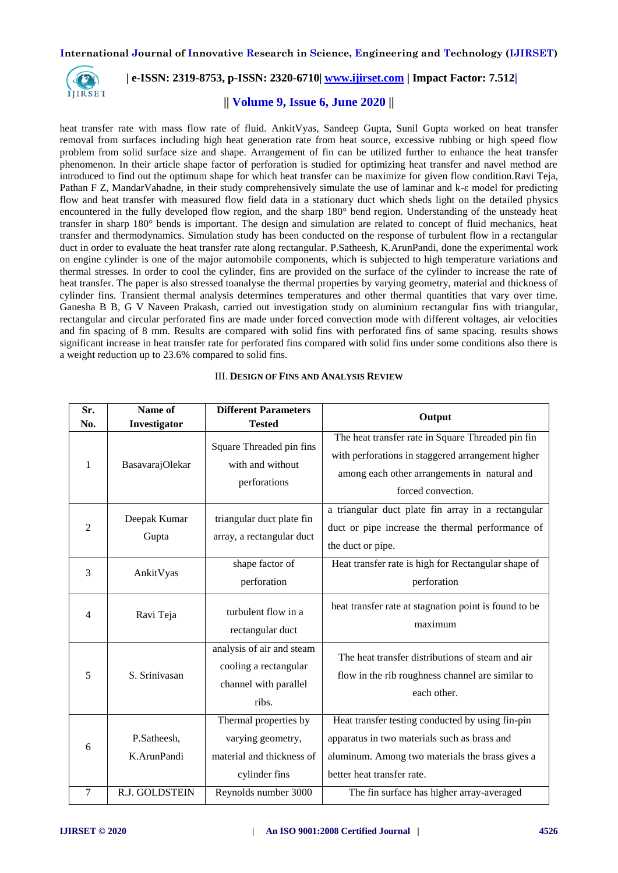

## **| e-ISSN: 2319-8753, p-ISSN: 2320-6710| [www.ijirset.com](http://www.ijirset.com/) | Impact Factor: 7.512|**

# **|| Volume 9, Issue 6, June 2020 ||**

heat transfer rate with mass flow rate of fluid. AnkitVyas, Sandeep Gupta, Sunil Gupta worked on heat transfer removal from surfaces including high heat generation rate from heat source, excessive rubbing or high speed flow problem from solid surface size and shape. Arrangement of fin can be utilized further to enhance the heat transfer phenomenon. In their article shape factor of perforation is studied for optimizing heat transfer and navel method are introduced to find out the optimum shape for which heat transfer can be maximize for given flow condition.Ravi Teja, Pathan F Z, MandarVahadne, in their study comprehensively simulate the use of laminar and k-ε model for predicting flow and heat transfer with measured flow field data in a stationary duct which sheds light on the detailed physics encountered in the fully developed flow region, and the sharp 180° bend region. Understanding of the unsteady heat transfer in sharp 180° bends is important. The design and simulation are related to concept of fluid mechanics, heat transfer and thermodynamics. Simulation study has been conducted on the response of turbulent flow in a rectangular duct in order to evaluate the heat transfer rate along rectangular. P.Satheesh, K.ArunPandi, done the experimental work on engine cylinder is one of the major automobile components, which is subjected to high temperature variations and thermal stresses. In order to cool the cylinder, fins are provided on the surface of the cylinder to increase the rate of heat transfer. The paper is also stressed toanalyse the thermal properties by varying geometry, material and thickness of cylinder fins. Transient thermal analysis determines temperatures and other thermal quantities that vary over time. Ganesha B B, G V Naveen Prakash, carried out investigation study on aluminium rectangular fins with triangular, rectangular and circular perforated fins are made under forced convection mode with different voltages, air velocities and fin spacing of 8 mm. Results are compared with solid fins with perforated fins of same spacing. results shows significant increase in heat transfer rate for perforated fins compared with solid fins under some conditions also there is a weight reduction up to 23.6% compared to solid fins.

| Sr.<br>No.          | Name of<br>Investigator                      | <b>Different Parameters</b><br><b>Tested</b>                                                                     | Output                                                                                                                                                                                                                         |
|---------------------|----------------------------------------------|------------------------------------------------------------------------------------------------------------------|--------------------------------------------------------------------------------------------------------------------------------------------------------------------------------------------------------------------------------|
| 1                   | BasavarajOlekar                              | Square Threaded pin fins<br>with and without<br>perforations                                                     | The heat transfer rate in Square Threaded pin fin<br>with perforations in staggered arrangement higher<br>among each other arrangements in natural and<br>forced convection.                                                   |
| $\overline{2}$      | Deepak Kumar<br>Gupta                        | triangular duct plate fin<br>array, a rectangular duct                                                           | a triangular duct plate fin array in a rectangular<br>duct or pipe increase the thermal performance of<br>the duct or pipe.                                                                                                    |
| 3                   | AnkitVyas                                    | shape factor of<br>perforation                                                                                   | Heat transfer rate is high for Rectangular shape of<br>perforation                                                                                                                                                             |
| 4                   | Ravi Teja                                    | turbulent flow in a<br>rectangular duct                                                                          | heat transfer rate at stagnation point is found to be<br>maximum                                                                                                                                                               |
| 5                   | S. Srinivasan                                | analysis of air and steam<br>cooling a rectangular<br>channel with parallel<br>ribs.                             | The heat transfer distributions of steam and air<br>flow in the rib roughness channel are similar to<br>each other.                                                                                                            |
| 6<br>$\overline{7}$ | P.Satheesh,<br>K.ArunPandi<br>R.J. GOLDSTEIN | Thermal properties by<br>varying geometry,<br>material and thickness of<br>cylinder fins<br>Reynolds number 3000 | Heat transfer testing conducted by using fin-pin<br>apparatus in two materials such as brass and<br>aluminum. Among two materials the brass gives a<br>better heat transfer rate.<br>The fin surface has higher array-averaged |
|                     |                                              |                                                                                                                  |                                                                                                                                                                                                                                |

#### III. **DESIGN OF FINS AND ANALYSIS REVIEW**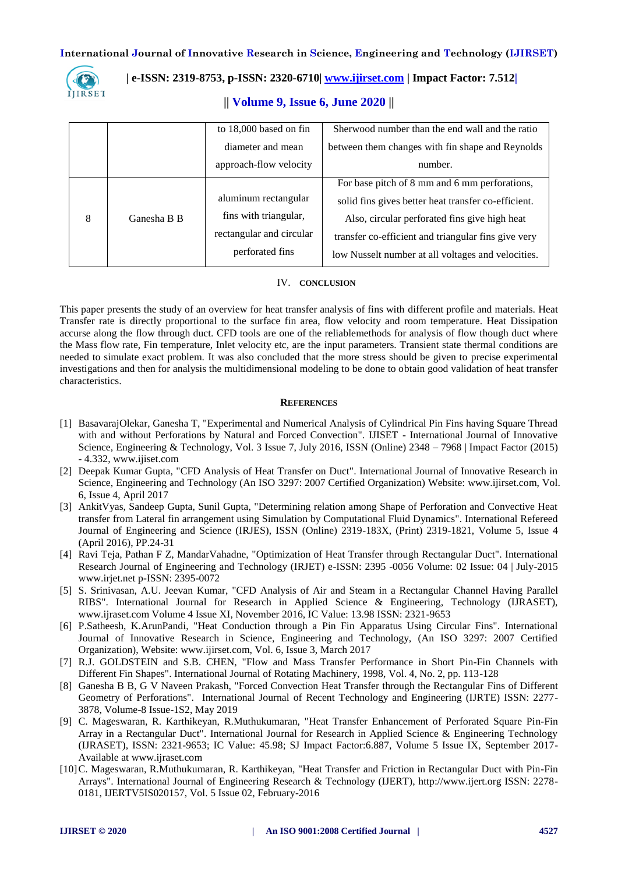

# **| e-ISSN: 2319-8753, p-ISSN: 2320-6710| [www.ijirset.com](http://www.ijirset.com/) | Impact Factor: 7.512|**

### **|| Volume 9, Issue 6, June 2020 ||**

|   |             | to 18,000 based on fin   | Sherwood number than the end wall and the ratio     |
|---|-------------|--------------------------|-----------------------------------------------------|
|   |             | diameter and mean        | between them changes with fin shape and Reynolds    |
|   |             | approach-flow velocity   | number.                                             |
|   |             |                          | For base pitch of 8 mm and 6 mm perforations,       |
|   |             | aluminum rectangular     | solid fins gives better heat transfer co-efficient. |
| 8 | Ganesha B B | fins with triangular,    | Also, circular perforated fins give high heat       |
|   |             | rectangular and circular | transfer co-efficient and triangular fins give very |
|   |             | perforated fins          | low Nusselt number at all voltages and velocities.  |

#### IV. **CONCLUSION**

This paper presents the study of an overview for heat transfer analysis of fins with different profile and materials. Heat Transfer rate is directly proportional to the surface fin area, flow velocity and room temperature. Heat Dissipation accurse along the flow through duct. CFD tools are one of the reliablemethods for analysis of flow though duct where the Mass flow rate, Fin temperature, Inlet velocity etc, are the input parameters. Transient state thermal conditions are needed to simulate exact problem. It was also concluded that the more stress should be given to precise experimental investigations and then for analysis the multidimensional modeling to be done to obtain good validation of heat transfer characteristics.

#### **REFERENCES**

- [1] BasavarajOlekar, Ganesha T, "Experimental and Numerical Analysis of Cylindrical Pin Fins having Square Thread with and without Perforations by Natural and Forced Convection". IJISET - International Journal of Innovative Science, Engineering & Technology, Vol. 3 Issue 7, July 2016, ISSN (Online) 2348 – 7968 | Impact Factor (2015) - 4.332, www.ijiset.com
- [2] Deepak Kumar Gupta, "CFD Analysis of Heat Transfer on Duct". International Journal of Innovative Research in Science, Engineering and Technology (An ISO 3297: 2007 Certified Organization) Website: www.ijirset.com, Vol. 6, Issue 4, April 2017
- [3] AnkitVyas, Sandeep Gupta, Sunil Gupta, "Determining relation among Shape of Perforation and Convective Heat transfer from Lateral fin arrangement using Simulation by Computational Fluid Dynamics". International Refereed Journal of Engineering and Science (IRJES), ISSN (Online) 2319-183X, (Print) 2319-1821, Volume 5, Issue 4 (April 2016), PP.24-31
- [4] Ravi Teja, Pathan F Z, MandarVahadne, "Optimization of Heat Transfer through Rectangular Duct". International Research Journal of Engineering and Technology (IRJET) e-ISSN: 2395 -0056 Volume: 02 Issue: 04 | July-2015 www.irjet.net p-ISSN: 2395-0072
- [5] S. Srinivasan, A.U. Jeevan Kumar, "CFD Analysis of Air and Steam in a Rectangular Channel Having Parallel RIBS". International Journal for Research in Applied Science & Engineering, Technology (IJRASET), www.ijraset.com Volume 4 Issue XI, November 2016, IC Value: 13.98 ISSN: 2321-9653
- [6] P.Satheesh, K.ArunPandi, "Heat Conduction through a Pin Fin Apparatus Using Circular Fins". International Journal of Innovative Research in Science, Engineering and Technology, (An ISO 3297: 2007 Certified Organization), Website: www.ijirset.com, Vol. 6, Issue 3, March 2017
- [7] R.J. GOLDSTEIN and S.B. CHEN, "Flow and Mass Transfer Performance in Short Pin-Fin Channels with Different Fin Shapes". International Journal of Rotating Machinery, 1998, Vol. 4, No. 2, pp. 113-128
- [8] Ganesha B B, G V Naveen Prakash, "Forced Convection Heat Transfer through the Rectangular Fins of Different Geometry of Perforations". International Journal of Recent Technology and Engineering (IJRTE) ISSN: 2277- 3878, Volume-8 Issue-1S2, May 2019
- [9] C. Mageswaran, R. Karthikeyan, R.Muthukumaran, "Heat Transfer Enhancement of Perforated Square Pin-Fin Array in a Rectangular Duct". International Journal for Research in Applied Science & Engineering Technology (IJRASET), ISSN: 2321-9653; IC Value: 45.98; SJ Impact Factor:6.887, Volume 5 Issue IX, September 2017- Available at www.ijraset.com
- [10]C. Mageswaran, R.Muthukumaran, R. Karthikeyan, "Heat Transfer and Friction in Rectangular Duct with Pin-Fin Arrays". International Journal of Engineering Research & Technology (IJERT), http://www.ijert.org ISSN: 2278- 0181, IJERTV5IS020157, Vol. 5 Issue 02, February-2016